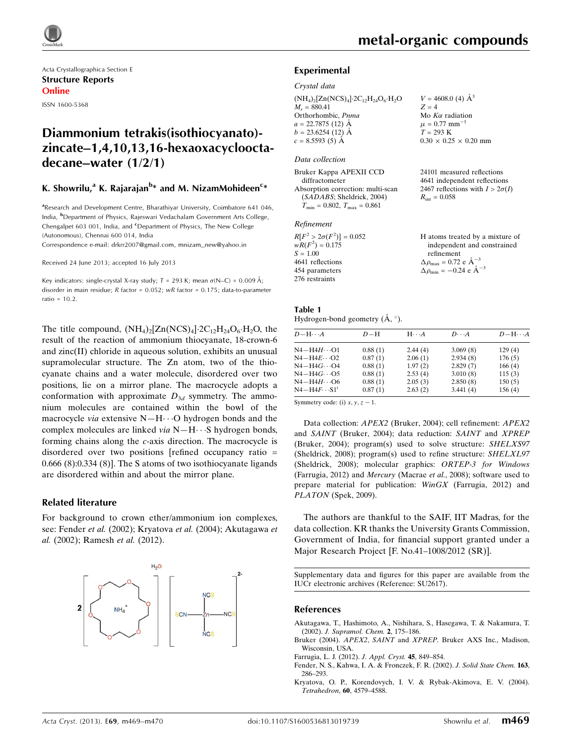

Acta Crystallographica Section E Structure Reports Online ISSN 1600-5368

## Diammonium tetrakis(isothiocyanato) zincate–1,4,10,13,16-hexaoxacyclooctadecane–water (1/2/1)

## K. Showrilu,<sup>a</sup> K. Rajarajan<sup>b</sup>\* and M. NizamMohideen<sup>c</sup>\*

<sup>a</sup>Research and Development Centre, Bharathiyar University, Coimbatore 641 046, India, <sup>b</sup>Department of Physics, Rajeswari Vedachalam Government Arts College, Chengalpet 603 001, India, and <sup>c</sup>Department of Physics, The New College (Autonomous), Chennai 600 014, India

Correspondence e-mail: [drkrr2007@gmail.com, mnizam\\_new@yahoo.in](https://scripts.iucr.org/cgi-bin/cr.cgi?rm=pdfbb&cnor=su2617&bbid=BB10)

Received 24 June 2013; accepted 16 July 2013

Key indicators: single-crystal X-ray study;  $T$  = 293 K; mean  $\sigma$ (N–C) = 0.009 Å; disorder in main residue; R factor = 0.052; wR factor = 0.175; data-to-parameter ratio =  $10.2$ .

The title compound,  $(NH_4)_2[Zn(NCS)_4]\cdot 2C_{12}H_{24}O_6\cdot H_2O$ , the result of the reaction of ammonium thiocyanate, 18-crown-6 and zinc(II) chloride in aqueous solution, exhibits an unusual supramolecular structure. The Zn atom, two of the thiocyanate chains and a water molecule, disordered over two positions, lie on a mirror plane. The macrocycle adopts a conformation with approximate  $D_{3d}$  symmetry. The ammonium molecules are contained within the bowl of the macrocycle via extensive N-H $\cdots$ O hydrogen bonds and the complex molecules are linked via N-H··· S hydrogen bonds, forming chains along the c-axis direction. The macrocycle is disordered over two positions [refined occupancy ratio = 0.666 (8):0.334 (8)]. The S atoms of two isothiocyanate ligands are disordered within and about the mirror plane.

#### Related literature

For background to crown ether/ammonium ion complexes, see: Fender et al. (2002); Kryatova et al. (2004); Akutagawa et al. (2002); Ramesh et al. (2012).



 $V = 4608.0$  (4)  $\AA^3$ 

Mo  $K\alpha$  radiation  $\mu = 0.77$  mm<sup>-1</sup>  $T = 293 K$ 

 $R_{\text{int}} = 0.058$ 

 $0.30 \times 0.25 \times 0.20$  mm

24101 measured reflections 4641 independent reflections 2467 reflections with  $I > 2\sigma(I)$ 

 $Z = 4$ 

#### Experimental

#### Crystal data

 $(NH_4)_2$ [Zn(NCS)<sub>4</sub>] $\cdot$ 2C<sub>12</sub>H<sub>24</sub>O<sub>6</sub> $\cdot$ H<sub>2</sub>O  $M_r = 880.41$ Orthorhombic, Pnma  $a = 22.7875(12)$  Å  $b = 23.6254(12)$  Å  $c = 8.5593(5)$  Å

#### Data collection

| Bruker Kappa APEXII CCD              |
|--------------------------------------|
| diffractometer                       |
| Absorption correction: multi-scan    |
| (SADABS; Sheldrick, 2004)            |
| $T_{\min} = 0.802, T_{\max} = 0.861$ |

#### Refinement

| $R[F^2 > 2\sigma(F^2)] = 0.052$ | H atoms treated by a mixture of                      |
|---------------------------------|------------------------------------------------------|
| $wR(F^2) = 0.175$               | independent and constrained                          |
| $S = 1.00$                      | refinement                                           |
| 4641 reflections                | $\Delta \rho_{\text{max}} = 0.72 \text{ e A}^{-3}$   |
| 454 parameters                  | $\Delta \rho_{\text{min}} = -0.24$ e $\rm{\AA}^{-3}$ |
| 276 restraints                  |                                                      |

| Table 1                                       |  |  |
|-----------------------------------------------|--|--|
| Hydrogen-bond geometry $(\dot{A}, \degree)$ . |  |  |

| $D - H \cdots A$       | $D-H$   | $H \cdot \cdot \cdot A$ | $D\cdots A$ | $D - H \cdots A$ |
|------------------------|---------|-------------------------|-------------|------------------|
| $N4 - H4H \cdots 01$   | 0.88(1) | 2.44(4)                 | 3.069(8)    | 129(4)           |
| $N4 - H4E \cdots Q2$   | 0.87(1) | 2.06(1)                 | 2.934(8)    | 176(5)           |
| $N4-H4G\cdots O4$      | 0.88(1) | 1.97(2)                 | 2.829(7)    | 166(4)           |
| $N4-H4G\cdots$ O5      | 0.88(1) | 2.53(4)                 | 3.010(8)    | 115(3)           |
| $N4 - H4H \cdots 06$   | 0.88(1) | 2.05(3)                 | 2.850(8)    | 150(5)           |
| $N4 - H4F \cdots S1^1$ | 0.87(1) | 2.63(2)                 | 3.441(4)    | 156(4)           |

Symmetry code: (i)  $x, y, z - 1$ .

Data collection: APEX2 (Bruker, 2004); cell refinement: APEX2 and SAINT (Bruker, 2004); data reduction: SAINT and XPREP (Bruker, 2004); program(s) used to solve structure: SHELXS97 (Sheldrick, 2008); program(s) used to refine structure: SHELXL97 (Sheldrick, 2008); molecular graphics: ORTEP-3 for Windows (Farrugia, 2012) and Mercury (Macrae et al., 2008); software used to prepare material for publication: WinGX (Farrugia, 2012) and PLATON (Spek, 2009).

The authors are thankful to the SAIF, IIT Madras, for the data collection. KR thanks the University Grants Commission, Government of India, for financial support granted under a Major Research Project [F. No.41–1008/2012 (SR)].

Supplementary data and figures for this paper are available from the IUCr electronic archives (Reference: SU2617).

#### References

- [Akutagawa, T., Hashimoto, A., Nishihara, S., Hasegawa, T. & Nakamura, T.](https://scripts.iucr.org/cgi-bin/cr.cgi?rm=pdfbb&cnor=su2617&bbid=BB1) (2002). [J. Supramol. Chem.](https://scripts.iucr.org/cgi-bin/cr.cgi?rm=pdfbb&cnor=su2617&bbid=BB1) 2, 175–186.
- Bruker (2004). APEX2, SAINT and XPREP[. Bruker AXS Inc., Madison,](https://scripts.iucr.org/cgi-bin/cr.cgi?rm=pdfbb&cnor=su2617&bbid=BB2) [Wisconsin, USA.](https://scripts.iucr.org/cgi-bin/cr.cgi?rm=pdfbb&cnor=su2617&bbid=BB2)
- [Farrugia, L. J. \(2012\).](https://scripts.iucr.org/cgi-bin/cr.cgi?rm=pdfbb&cnor=su2617&bbid=BB3) J. Appl. Cryst. 45, 849–854.
- [Fender, N. S., Kahwa, I. A. & Fronczek, F. R. \(2002\).](https://scripts.iucr.org/cgi-bin/cr.cgi?rm=pdfbb&cnor=su2617&bbid=BB4) J. Solid State Chem. 163, [286–293.](https://scripts.iucr.org/cgi-bin/cr.cgi?rm=pdfbb&cnor=su2617&bbid=BB4)
- [Kryatova, O. P., Korendovych, I. V. & Rybak-Akimova, E. V. \(2004\).](https://scripts.iucr.org/cgi-bin/cr.cgi?rm=pdfbb&cnor=su2617&bbid=BB5) Tetrahedron, 60[, 4579–4588.](https://scripts.iucr.org/cgi-bin/cr.cgi?rm=pdfbb&cnor=su2617&bbid=BB5)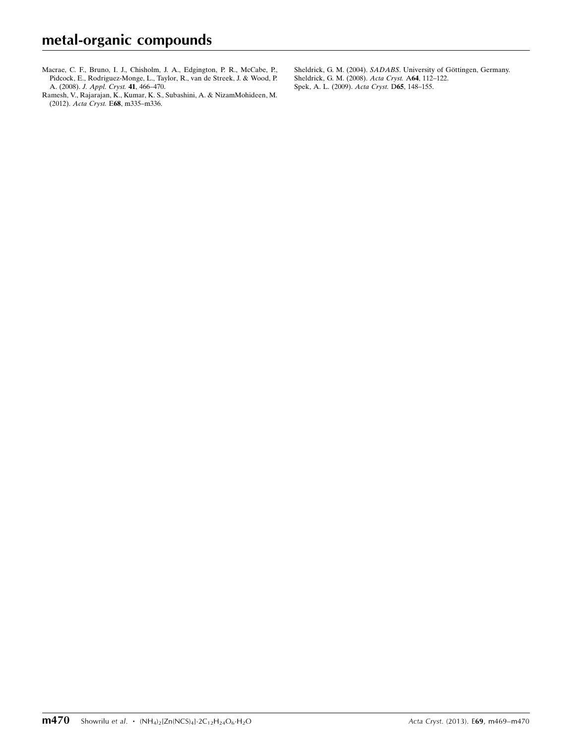- [Macrae, C. F., Bruno, I. J., Chisholm, J. A., Edgington, P. R., McCabe, P.,](https://scripts.iucr.org/cgi-bin/cr.cgi?rm=pdfbb&cnor=su2617&bbid=BB6) [Pidcock, E., Rodriguez-Monge, L., Taylor, R., van de Streek, J. & Wood, P.](https://scripts.iucr.org/cgi-bin/cr.cgi?rm=pdfbb&cnor=su2617&bbid=BB6) A. (2008). [J. Appl. Cryst.](https://scripts.iucr.org/cgi-bin/cr.cgi?rm=pdfbb&cnor=su2617&bbid=BB6) 41, 466–470.
- [Ramesh, V., Rajarajan, K., Kumar, K. S., Subashini, A. & NizamMohideen, M.](https://scripts.iucr.org/cgi-bin/cr.cgi?rm=pdfbb&cnor=su2617&bbid=BB7) (2012). Acta Cryst. E68[, m335–m336.](https://scripts.iucr.org/cgi-bin/cr.cgi?rm=pdfbb&cnor=su2617&bbid=BB7)
- Sheldrick, G. M. (2004). SADABS. University of Göttingen, Germany. [Sheldrick, G. M. \(2008\).](https://scripts.iucr.org/cgi-bin/cr.cgi?rm=pdfbb&cnor=su2617&bbid=BB9) Acta Cryst. A64, 112–122. [Spek, A. L. \(2009\).](https://scripts.iucr.org/cgi-bin/cr.cgi?rm=pdfbb&cnor=su2617&bbid=BB10) Acta Cryst. D65, 148–155.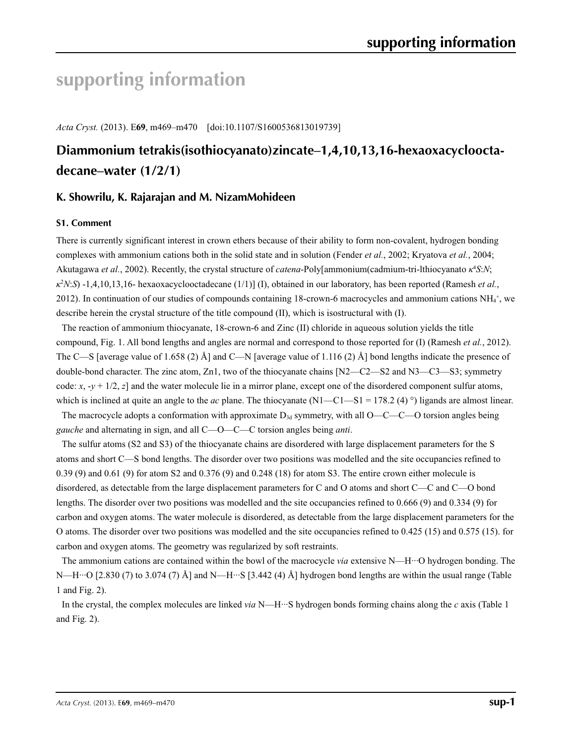# **supporting information**

*Acta Cryst.* (2013). E**69**, m469–m470 [doi:10.1107/S1600536813019739]

# **Diammonium tetrakis(isothiocyanato)zincate–1,4,10,13,16-hexaoxacyclooctadecane–water (1/2/1)**

## **K. Showrilu, K. Rajarajan and M. NizamMohideen**

#### **S1. Comment**

There is currently significant interest in crown ethers because of their ability to form non-covalent, hydrogen bonding complexes with ammonium cations both in the solid state and in solution (Fender *et al.*, 2002; Kryatova *et al.*, 2004; Akutagawa *et al.*, 2002). Recently, the crystal structure of *catena*-Poly[ammonium(cadmium-tri-lthiocyanato *κ*<sup>4</sup> *S*:*N*; *κ*2 *N*:*S*) -1,4,10,13,16- hexaoxacyclooctadecane (1/1)] (I), obtained in our laboratory, has been reported (Ramesh *et al.*, 2012). In continuation of our studies of compounds containing 18-crown-6 macrocycles and ammonium cations  $NH_4^+$ , we describe herein the crystal structure of the title compound (II), which is isostructural with (I).

The reaction of ammonium thiocyanate, 18-crown-6 and Zinc (II) chloride in aqueous solution yields the title compound, Fig. 1. All bond lengths and angles are normal and correspond to those reported for (I) (Ramesh *et al.*, 2012). The C—S [average value of 1.658 (2) Å] and C—N [average value of 1.116 (2) Å] bond lengths indicate the presence of double-bond character. The zinc atom, Zn1, two of the thiocyanate chains [N2—C2—S2 and N3—C3—S3; symmetry code:  $x, -y + 1/2, z$  and the water molecule lie in a mirror plane, except one of the disordered component sulfur atoms, which is inclined at quite an angle to the *ac* plane. The thiocyanate (N1—C1—S1 = 178.2 (4)<sup>o</sup>) ligands are almost linear.

The macrocycle adopts a conformation with approximate  $D_{3d}$  symmetry, with all O—C—C—O torsion angles being *gauche* and alternating in sign, and all C—O—C—C torsion angles being *anti*.

The sulfur atoms (S2 and S3) of the thiocyanate chains are disordered with large displacement parameters for the S atoms and short C—S bond lengths. The disorder over two positions was modelled and the site occupancies refined to 0.39 (9) and 0.61 (9) for atom S2 and 0.376 (9) and 0.248 (18) for atom S3. The entire crown either molecule is disordered, as detectable from the large displacement parameters for C and O atoms and short C—C and C—O bond lengths. The disorder over two positions was modelled and the site occupancies refined to 0.666 (9) and 0.334 (9) for carbon and oxygen atoms. The water molecule is disordered, as detectable from the large displacement parameters for the O atoms. The disorder over two positions was modelled and the site occupancies refined to 0.425 (15) and 0.575 (15). for carbon and oxygen atoms. The geometry was regularized by soft restraints.

The ammonium cations are contained within the bowl of the macrocycle *via* extensive N—H···O hydrogen bonding. The N—H···O [2.830 (7) to 3.074 (7) Å] and N—H···S [3.442 (4) Å] hydrogen bond lengths are within the usual range (Table 1 and Fig. 2).

In the crystal, the complex molecules are linked *via* N—H···S hydrogen bonds forming chains along the *c* axis (Table 1 and Fig. 2).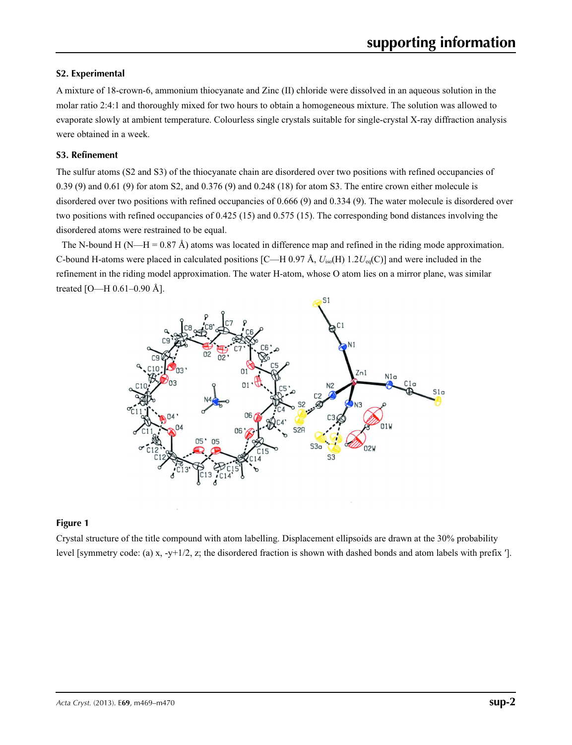#### **S2. Experimental**

A mixture of 18-crown-6, ammonium thiocyanate and Zinc (II) chloride were dissolved in an aqueous solution in the molar ratio 2:4:1 and thoroughly mixed for two hours to obtain a homogeneous mixture. The solution was allowed to evaporate slowly at ambient temperature. Colourless single crystals suitable for single-crystal X-ray diffraction analysis were obtained in a week.

#### **S3. Refinement**

The sulfur atoms (S2 and S3) of the thiocyanate chain are disordered over two positions with refined occupancies of 0.39 (9) and 0.61 (9) for atom S2, and 0.376 (9) and 0.248 (18) for atom S3. The entire crown either molecule is disordered over two positions with refined occupancies of 0.666 (9) and 0.334 (9). The water molecule is disordered over two positions with refined occupancies of 0.425 (15) and 0.575 (15). The corresponding bond distances involving the disordered atoms were restrained to be equal.

The N-bound H (N—H =  $0.87 \text{ Å}$ ) atoms was located in difference map and refined in the riding mode approximation. C-bound H-atoms were placed in calculated positions [C—H 0.97 Å, *U*iso(H) 1.2*U*eq(C)] and were included in the refinement in the riding model approximation. The water H-atom, whose O atom lies on a mirror plane, was similar treated [O—H 0.61–0.90 Å].



#### **Figure 1**

Crystal structure of the title compound with atom labelling. Displacement ellipsoids are drawn at the 30% probability level [symmetry code: (a) x, -y+1/2, z; the disordered fraction is shown with dashed bonds and atom labels with prefix ′].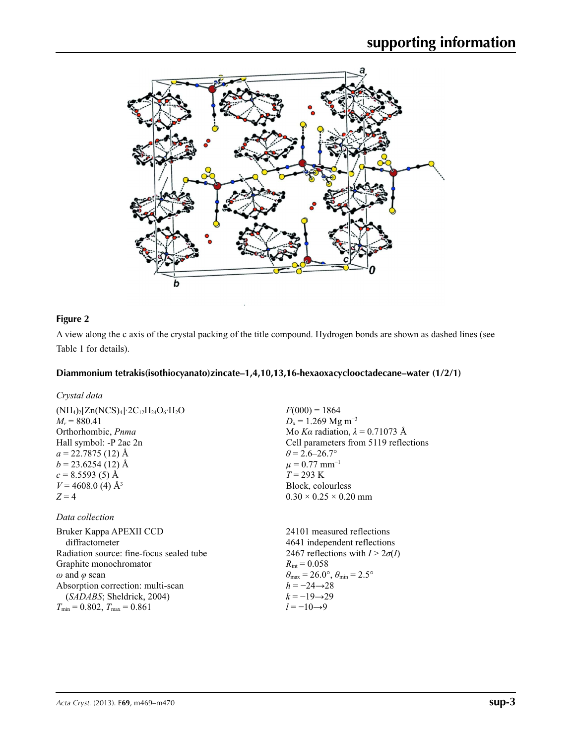

## **Figure 2**

A view along the c axis of the crystal packing of the title compound. Hydrogen bonds are shown as dashed lines (see Table 1 for details).

#### **Diammonium tetrakis(isothiocyanato)zincate–1,4,10,13,16-hexaoxacyclooctadecane–water (1/2/1)**

### *Crystal data*

#### *Data collection*

Bruker Kappa APEXII CCD diffractometer Radiation source: fine-focus sealed tube Graphite monochromator *ω* and *φ* scan Absorption correction: multi-scan (*SADABS*; Sheldrick, 2004)  $T_{\text{min}} = 0.802, T_{\text{max}} = 0.861$ 

 $F(000) = 1864$  $D_x = 1.269$  Mg m<sup>-3</sup> Mo *Kα* radiation,  $\lambda = 0.71073$  Å Cell parameters from 5119 reflections  $\theta$  = 2.6–26.7°  $\mu = 0.77$  mm<sup>-1</sup> *T* = 293 K Block, colourless  $0.30 \times 0.25 \times 0.20$  mm

24101 measured reflections 4641 independent reflections 2467 reflections with  $I > 2\sigma(I)$  $R_{\text{int}} = 0.058$  $\theta_{\text{max}} = 26.0^{\circ}, \theta_{\text{min}} = 2.5^{\circ}$  $h = -24 \rightarrow 28$  $k = -19 \rightarrow 29$ *l* = −10→9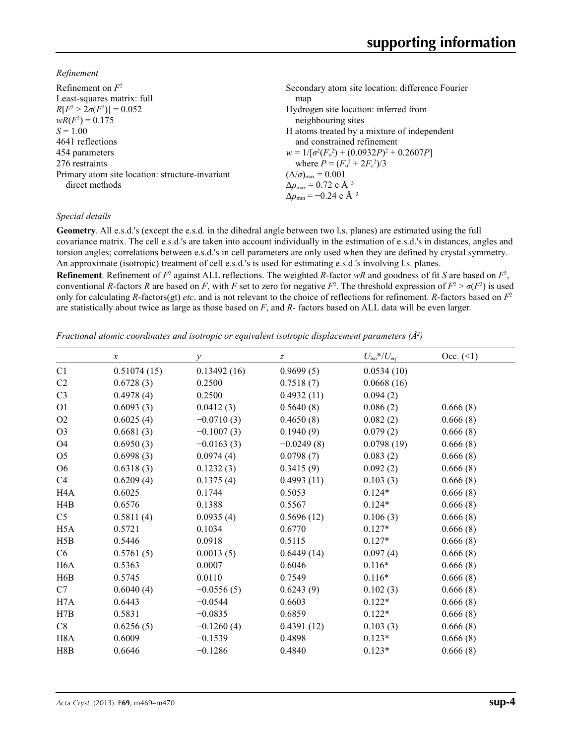*Refinement*

| Refinement on $F^2$                             | Secondary atom site location: difference Fourier           |
|-------------------------------------------------|------------------------------------------------------------|
| Least-squares matrix: full                      | map                                                        |
| $R[F^2 > 2\sigma(F^2)] = 0.052$                 | Hydrogen site location: inferred from                      |
| $wR(F^2) = 0.175$                               | neighbouring sites                                         |
| $S = 1.00$                                      | H atoms treated by a mixture of independent                |
| 4641 reflections                                | and constrained refinement                                 |
| 454 parameters                                  | $w = 1/[\sigma^2(F_0^2) + (0.0932P)^2 + 0.2607P]$          |
| 276 restraints                                  | where $P = (F_0^2 + 2F_c^2)/3$                             |
| Primary atom site location: structure-invariant | $(\Delta/\sigma)_{\text{max}} = 0.001$                     |
| direct methods                                  | $\Delta\rho_{\text{max}} = 0.72$ e $\AA^{-3}$              |
|                                                 | $\Delta \rho_{\rm min} = -0.24 \text{ e } \text{\AA}^{-3}$ |
|                                                 |                                                            |

#### *Special details*

**Geometry**. All e.s.d.'s (except the e.s.d. in the dihedral angle between two l.s. planes) are estimated using the full covariance matrix. The cell e.s.d.'s are taken into account individually in the estimation of e.s.d.'s in distances, angles and torsion angles; correlations between e.s.d.'s in cell parameters are only used when they are defined by crystal symmetry. An approximate (isotropic) treatment of cell e.s.d.'s is used for estimating e.s.d.'s involving l.s. planes.

**Refinement**. Refinement of  $F^2$  against ALL reflections. The weighted *R*-factor  $wR$  and goodness of fit *S* are based on  $F^2$ , conventional *R*-factors *R* are based on *F*, with *F* set to zero for negative  $F^2$ . The threshold expression of  $F^2 > \sigma(F^2)$  is used only for calculating *R*-factors(gt) *etc*. and is not relevant to the choice of reflections for refinement. *R*-factors based on *F*<sup>2</sup> are statistically about twice as large as those based on *F*, and *R*- factors based on ALL data will be even larger.

*Fractional atomic coordinates and isotropic or equivalent isotropic displacement parameters (Å<sup>2</sup>)* 

|                  | $\boldsymbol{x}$ | $\mathcal{Y}$ | $\boldsymbol{Z}$ | $U_{\rm iso}*/U_{\rm eq}$ | Occ. (2) |
|------------------|------------------|---------------|------------------|---------------------------|----------|
| C1               | 0.51074(15)      | 0.13492(16)   | 0.9699(5)        | 0.0534(10)                |          |
| C <sub>2</sub>   | 0.6728(3)        | 0.2500        | 0.7518(7)        | 0.0668(16)                |          |
| C <sub>3</sub>   | 0.4978(4)        | 0.2500        | 0.4932(11)       | 0.094(2)                  |          |
| O <sub>1</sub>   | 0.6093(3)        | 0.0412(3)     | 0.5640(8)        | 0.086(2)                  | 0.666(8) |
| O2               | 0.6025(4)        | $-0.0710(3)$  | 0.4650(8)        | 0.082(2)                  | 0.666(8) |
| O <sub>3</sub>   | 0.6681(3)        | $-0.1007(3)$  | 0.1940(9)        | 0.079(2)                  | 0.666(8) |
| O4               | 0.6950(3)        | $-0.0163(3)$  | $-0.0249(8)$     | 0.0798(19)                | 0.666(8) |
| O <sub>5</sub>   | 0.6998(3)        | 0.0974(4)     | 0.0798(7)        | 0.083(2)                  | 0.666(8) |
| O <sub>6</sub>   | 0.6318(3)        | 0.1232(3)     | 0.3415(9)        | 0.092(2)                  | 0.666(8) |
| C4               | 0.6209(4)        | 0.1375(4)     | 0.4993(11)       | 0.103(3)                  | 0.666(8) |
| H <sub>4</sub> A | 0.6025           | 0.1744        | 0.5053           | $0.124*$                  | 0.666(8) |
| H4B              | 0.6576           | 0.1388        | 0.5567           | $0.124*$                  | 0.666(8) |
| C <sub>5</sub>   | 0.5811(4)        | 0.0935(4)     | 0.5696(12)       | 0.106(3)                  | 0.666(8) |
| H <sub>5</sub> A | 0.5721           | 0.1034        | 0.6770           | $0.127*$                  | 0.666(8) |
| H5B              | 0.5446           | 0.0918        | 0.5115           | $0.127*$                  | 0.666(8) |
| C6               | 0.5761(5)        | 0.0013(5)     | 0.6449(14)       | 0.097(4)                  | 0.666(8) |
| H <sub>6</sub> A | 0.5363           | 0.0007        | 0.6046           | $0.116*$                  | 0.666(8) |
| H6B              | 0.5745           | 0.0110        | 0.7549           | $0.116*$                  | 0.666(8) |
| C7               | 0.6040(4)        | $-0.0556(5)$  | 0.6243(9)        | 0.102(3)                  | 0.666(8) |
| H7A              | 0.6443           | $-0.0544$     | 0.6603           | $0.122*$                  | 0.666(8) |
| H7B              | 0.5831           | $-0.0835$     | 0.6859           | $0.122*$                  | 0.666(8) |
| C8               | 0.6256(5)        | $-0.1260(4)$  | 0.4391(12)       | 0.103(3)                  | 0.666(8) |
| H <sub>8</sub> A | 0.6009           | $-0.1539$     | 0.4898           | $0.123*$                  | 0.666(8) |
| H8B              | 0.6646           | $-0.1286$     | 0.4840           | $0.123*$                  | 0.666(8) |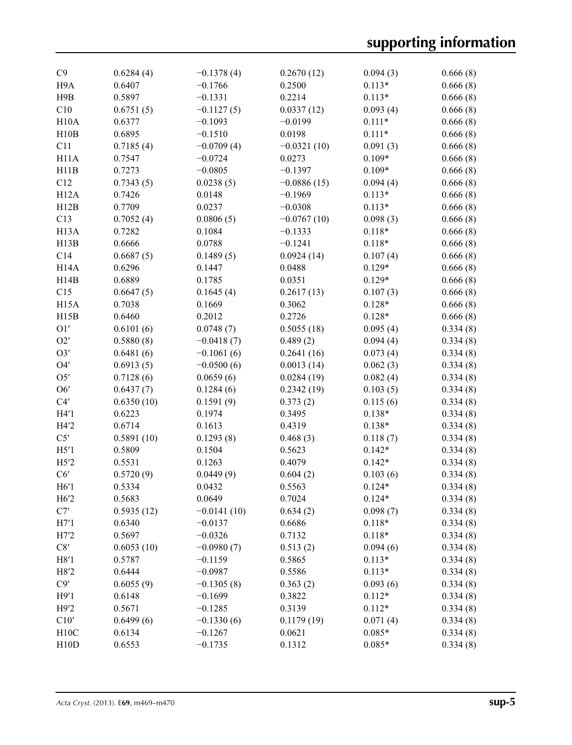| C9                | 0.6284(4)  | $-0.1378(4)$  | 0.2670(12)    | 0.094(3) | 0.666(8) |
|-------------------|------------|---------------|---------------|----------|----------|
| H9A               | 0.6407     | $-0.1766$     | 0.2500        | $0.113*$ | 0.666(8) |
| H <sub>9</sub> B  | 0.5897     | $-0.1331$     | 0.2214        | $0.113*$ | 0.666(8) |
| C10               | 0.6751(5)  | $-0.1127(5)$  | 0.0337(12)    | 0.093(4) | 0.666(8) |
| H10A              | 0.6377     | $-0.1093$     | $-0.0199$     | $0.111*$ | 0.666(8) |
| H10B              | 0.6895     | $-0.1510$     | 0.0198        | $0.111*$ | 0.666(8) |
| C11               | 0.7185(4)  | $-0.0709(4)$  | $-0.0321(10)$ | 0.091(3) | 0.666(8) |
| H11A              | 0.7547     | $-0.0724$     | 0.0273        | $0.109*$ | 0.666(8) |
| H11B              | 0.7273     | $-0.0805$     | $-0.1397$     | $0.109*$ | 0.666(8) |
| C12               | 0.7343(5)  | 0.0238(5)     | $-0.0886(15)$ | 0.094(4) | 0.666(8) |
| H12A              | 0.7426     | 0.0148        | $-0.1969$     | $0.113*$ | 0.666(8) |
| H12B              | 0.7709     | 0.0237        | $-0.0308$     | $0.113*$ | 0.666(8) |
| C13               | 0.7052(4)  | 0.0806(5)     | $-0.0767(10)$ | 0.098(3) | 0.666(8) |
|                   | 0.7282     |               |               |          |          |
| H <sub>13</sub> A |            | 0.1084        | $-0.1333$     | $0.118*$ | 0.666(8) |
| H13B              | 0.6666     | 0.0788        | $-0.1241$     | $0.118*$ | 0.666(8) |
| C14               | 0.6687(5)  | 0.1489(5)     | 0.0924(14)    | 0.107(4) | 0.666(8) |
| H <sub>14</sub> A | 0.6296     | 0.1447        | 0.0488        | $0.129*$ | 0.666(8) |
| H14B              | 0.6889     | 0.1785        | 0.0351        | $0.129*$ | 0.666(8) |
| C15               | 0.6647(5)  | 0.1645(4)     | 0.2617(13)    | 0.107(3) | 0.666(8) |
| H <sub>15</sub> A | 0.7038     | 0.1669        | 0.3062        | $0.128*$ | 0.666(8) |
| H15B              | 0.6460     | 0.2012        | 0.2726        | $0.128*$ | 0.666(8) |
| O1'               | 0.6101(6)  | 0.0748(7)     | 0.5055(18)    | 0.095(4) | 0.334(8) |
| O2'               | 0.5880(8)  | $-0.0418(7)$  | 0.489(2)      | 0.094(4) | 0.334(8) |
| O3'               | 0.6481(6)  | $-0.1061(6)$  | 0.2641(16)    | 0.073(4) | 0.334(8) |
| O4'               | 0.6913(5)  | $-0.0500(6)$  | 0.0013(14)    | 0.062(3) | 0.334(8) |
| O5'               | 0.7128(6)  | 0.0659(6)     | 0.0284(19)    | 0.082(4) | 0.334(8) |
| O6'               | 0.6437(7)  | 0.1284(6)     | 0.2342(19)    | 0.103(5) | 0.334(8) |
| C4'               | 0.6350(10) | 0.1591(9)     | 0.373(2)      | 0.115(6) | 0.334(8) |
| H4'1              | 0.6223     | 0.1974        | 0.3495        | $0.138*$ | 0.334(8) |
| H4'2              | 0.6714     | 0.1613        | 0.4319        | $0.138*$ | 0.334(8) |
| C5'               | 0.5891(10) | 0.1293(8)     | 0.468(3)      | 0.118(7) | 0.334(8) |
| H5'1              | 0.5809     | 0.1504        | 0.5623        | $0.142*$ | 0.334(8) |
| H5'2              | 0.5531     | 0.1263        | 0.4079        | $0.142*$ | 0.334(8) |
| C6'               | 0.5720(9)  | 0.0449(9)     | 0.604(2)      | 0.103(6) | 0.334(8) |
| H6'1              | 0.5334     | 0.0432        | 0.5563        | $0.124*$ | 0.334(8) |
| H6'2              |            |               |               | $0.124*$ |          |
| C7'               | 0.5683     | 0.0649        | 0.7024        |          | 0.334(8) |
|                   | 0.5935(12) | $-0.0141(10)$ | 0.634(2)      | 0.098(7) | 0.334(8) |
| H7'1              | 0.6340     | $-0.0137$     | 0.6686        | $0.118*$ | 0.334(8) |
| H7'2              | 0.5697     | $-0.0326$     | 0.7132        | $0.118*$ | 0.334(8) |
| $\rm C8'$         | 0.6053(10) | $-0.0980(7)$  | 0.513(2)      | 0.094(6) | 0.334(8) |
| H8'1              | 0.5787     | $-0.1159$     | 0.5865        | $0.113*$ | 0.334(8) |
| H8'2              | 0.6444     | $-0.0987$     | 0.5586        | $0.113*$ | 0.334(8) |
| C9'               | 0.6055(9)  | $-0.1305(8)$  | 0.363(2)      | 0.093(6) | 0.334(8) |
| H9'1              | 0.6148     | $-0.1699$     | 0.3822        | $0.112*$ | 0.334(8) |
| H9'2              | 0.5671     | $-0.1285$     | 0.3139        | $0.112*$ | 0.334(8) |
| C10'              | 0.6499(6)  | $-0.1330(6)$  | 0.1179(19)    | 0.071(4) | 0.334(8) |
| H10C              | 0.6134     | $-0.1267$     | 0.0621        | $0.085*$ | 0.334(8) |
| H10D              | 0.6553     | $-0.1735$     | 0.1312        | $0.085*$ | 0.334(8) |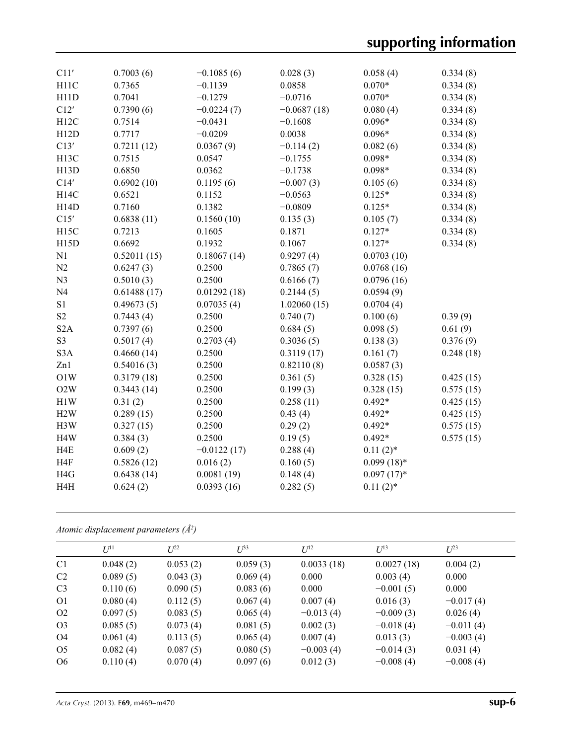| C11'              | 0.7003(6)   | $-0.1085(6)$  | 0.028(3)      | 0.058(4)      | 0.334(8)  |
|-------------------|-------------|---------------|---------------|---------------|-----------|
| H11C              | 0.7365      | $-0.1139$     | 0.0858        | $0.070*$      | 0.334(8)  |
| H11D              | 0.7041      | $-0.1279$     | $-0.0716$     | $0.070*$      | 0.334(8)  |
| C12'              | 0.7390(6)   | $-0.0224(7)$  | $-0.0687(18)$ | 0.080(4)      | 0.334(8)  |
| H12C              | 0.7514      | $-0.0431$     | $-0.1608$     | $0.096*$      | 0.334(8)  |
| H12D              | 0.7717      | $-0.0209$     | 0.0038        | $0.096*$      | 0.334(8)  |
| C13'              | 0.7211(12)  | 0.0367(9)     | $-0.114(2)$   | 0.082(6)      | 0.334(8)  |
| H <sub>13</sub> C | 0.7515      | 0.0547        | $-0.1755$     | $0.098*$      | 0.334(8)  |
| H13D              | 0.6850      | 0.0362        | $-0.1738$     | $0.098*$      | 0.334(8)  |
| C14'              | 0.6902(10)  | 0.1195(6)     | $-0.007(3)$   | 0.105(6)      | 0.334(8)  |
| H14C              | 0.6521      | 0.1152        | $-0.0563$     | $0.125*$      | 0.334(8)  |
| H14D              | 0.7160      | 0.1382        | $-0.0809$     | $0.125*$      | 0.334(8)  |
| C15'              | 0.6838(11)  | 0.1560(10)    | 0.135(3)      | 0.105(7)      | 0.334(8)  |
| H15C              | 0.7213      | 0.1605        | 0.1871        | $0.127*$      | 0.334(8)  |
| H15D              | 0.6692      | 0.1932        | 0.1067        | $0.127*$      | 0.334(8)  |
| N1                | 0.52011(15) | 0.18067(14)   | 0.9297(4)     | 0.0703(10)    |           |
| N2                | 0.6247(3)   | 0.2500        | 0.7865(7)     | 0.0768(16)    |           |
| N <sub>3</sub>    | 0.5010(3)   | 0.2500        | 0.6166(7)     | 0.0796(16)    |           |
| N <sub>4</sub>    | 0.61488(17) | 0.01292(18)   | 0.2144(5)     | 0.0594(9)     |           |
| S <sub>1</sub>    | 0.49673(5)  | 0.07035(4)    | 1.02060(15)   | 0.0704(4)     |           |
| $\mathbf{S2}$     | 0.7443(4)   | 0.2500        | 0.740(7)      | 0.100(6)      | 0.39(9)   |
| S <sub>2</sub> A  | 0.7397(6)   | 0.2500        | 0.684(5)      | 0.098(5)      | 0.61(9)   |
| S <sub>3</sub>    | 0.5017(4)   | 0.2703(4)     | 0.3036(5)     | 0.138(3)      | 0.376(9)  |
| S <sub>3</sub> A  | 0.4660(14)  | 0.2500        | 0.3119(17)    | 0.161(7)      | 0.248(18) |
| Zn1               | 0.54016(3)  | 0.2500        | 0.82110(8)    | 0.0587(3)     |           |
| O1W               | 0.3179(18)  | 0.2500        | 0.361(5)      | 0.328(15)     | 0.425(15) |
| O2W               | 0.3443(14)  | 0.2500        | 0.199(3)      | 0.328(15)     | 0.575(15) |
| H1W               | 0.31(2)     | 0.2500        | 0.258(11)     | $0.492*$      | 0.425(15) |
| H2W               | 0.289(15)   | 0.2500        | 0.43(4)       | $0.492*$      | 0.425(15) |
| H3W               | 0.327(15)   | 0.2500        | 0.29(2)       | $0.492*$      | 0.575(15) |
| H <sub>4</sub> W  | 0.384(3)    | 0.2500        | 0.19(5)       | $0.492*$      | 0.575(15) |
| H <sub>4</sub> E  | 0.609(2)    | $-0.0122(17)$ | 0.288(4)      | $0.11(2)$ *   |           |
| H <sub>4F</sub>   | 0.5826(12)  | 0.016(2)      | 0.160(5)      | $0.099(18)*$  |           |
| H <sub>4G</sub>   | 0.6438(14)  | 0.0081(19)    | 0.148(4)      | $0.097(17)$ * |           |
| H <sub>4</sub> H  | 0.624(2)    | 0.0393(16)    | 0.282(5)      | $0.11(2)$ *   |           |
|                   |             |               |               |               |           |

*Atomic displacement parameters (Å2 )*

|                | $I^{11}$ | $L^{22}$ | $U^{33}$ |             |             |             |
|----------------|----------|----------|----------|-------------|-------------|-------------|
|                |          |          |          | $U^{12}$    | $U^{13}$    | $U^{23}$    |
| C <sub>1</sub> | 0.048(2) | 0.053(2) | 0.059(3) | 0.0033(18)  | 0.0027(18)  | 0.004(2)    |
| C <sub>2</sub> | 0.089(5) | 0.043(3) | 0.069(4) | 0.000       | 0.003(4)    | 0.000       |
| C <sub>3</sub> | 0.110(6) | 0.090(5) | 0.083(6) | 0.000       | $-0.001(5)$ | 0.000       |
| O <sub>1</sub> | 0.080(4) | 0.112(5) | 0.067(4) | 0.007(4)    | 0.016(3)    | $-0.017(4)$ |
| O <sub>2</sub> | 0.097(5) | 0.083(5) | 0.065(4) | $-0.013(4)$ | $-0.009(3)$ | 0.026(4)    |
| O <sub>3</sub> | 0.085(5) | 0.073(4) | 0.081(5) | 0.002(3)    | $-0.018(4)$ | $-0.011(4)$ |
| O4             | 0.061(4) | 0.113(5) | 0.065(4) | 0.007(4)    | 0.013(3)    | $-0.003(4)$ |
| O <sub>5</sub> | 0.082(4) | 0.087(5) | 0.080(5) | $-0.003(4)$ | $-0.014(3)$ | 0.031(4)    |
| O <sub>6</sub> | 0.110(4) | 0.070(4) | 0.097(6) | 0.012(3)    | $-0.008(4)$ | $-0.008(4)$ |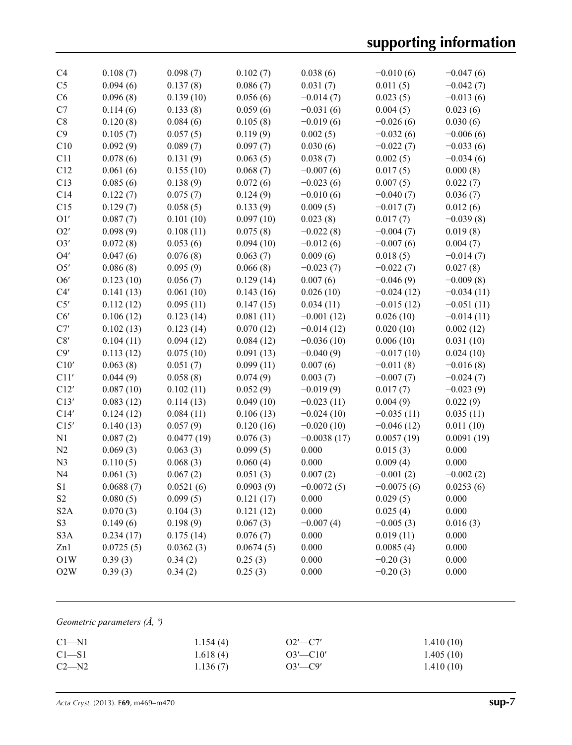| C <sub>4</sub>   | 0.108(7)  | 0.098(7)   | 0.102(7)  | 0.038(6)      | $-0.010(6)$  | $-0.047(6)$  |
|------------------|-----------|------------|-----------|---------------|--------------|--------------|
| C <sub>5</sub>   | 0.094(6)  | 0.137(8)   | 0.086(7)  | 0.031(7)      | 0.011(5)     | $-0.042(7)$  |
| C6               | 0.096(8)  | 0.139(10)  | 0.056(6)  | $-0.014(7)$   | 0.023(5)     | $-0.013(6)$  |
| C7               | 0.114(6)  | 0.133(8)   | 0.059(6)  | $-0.031(6)$   | 0.004(5)     | 0.023(6)     |
| C8               | 0.120(8)  | 0.084(6)   | 0.105(8)  | $-0.019(6)$   | $-0.026(6)$  | 0.030(6)     |
| C9               | 0.105(7)  | 0.057(5)   | 0.119(9)  | 0.002(5)      | $-0.032(6)$  | $-0.006(6)$  |
| C10              | 0.092(9)  | 0.089(7)   | 0.097(7)  | 0.030(6)      | $-0.022(7)$  | $-0.033(6)$  |
| C11              | 0.078(6)  | 0.131(9)   | 0.063(5)  | 0.038(7)      | 0.002(5)     | $-0.034(6)$  |
| C12              | 0.061(6)  | 0.155(10)  | 0.068(7)  | $-0.007(6)$   | 0.017(5)     | 0.000(8)     |
| C13              | 0.085(6)  | 0.138(9)   | 0.072(6)  | $-0.023(6)$   | 0.007(5)     | 0.022(7)     |
| C14              | 0.122(7)  | 0.075(7)   | 0.124(9)  | $-0.010(6)$   | $-0.040(7)$  | 0.036(7)     |
| C15              | 0.129(7)  | 0.058(5)   | 0.133(9)  | 0.009(5)      | $-0.017(7)$  | 0.012(6)     |
| O1'              | 0.087(7)  | 0.101(10)  | 0.097(10) | 0.023(8)      | 0.017(7)     | $-0.039(8)$  |
| O2'              | 0.098(9)  | 0.108(11)  | 0.075(8)  | $-0.022(8)$   | $-0.004(7)$  | 0.019(8)     |
| O3'              |           |            |           |               |              |              |
|                  | 0.072(8)  | 0.053(6)   | 0.094(10) | $-0.012(6)$   | $-0.007(6)$  | 0.004(7)     |
| O4'              | 0.047(6)  | 0.076(8)   | 0.063(7)  | 0.009(6)      | 0.018(5)     | $-0.014(7)$  |
| O5'              | 0.086(8)  | 0.095(9)   | 0.066(8)  | $-0.023(7)$   | $-0.022(7)$  | 0.027(8)     |
| O6'              | 0.123(10) | 0.056(7)   | 0.129(14) | 0.007(6)      | $-0.046(9)$  | $-0.009(8)$  |
| C4'              | 0.141(13) | 0.061(10)  | 0.143(16) | 0.026(10)     | $-0.024(12)$ | $-0.034(11)$ |
| C5'              | 0.112(12) | 0.095(11)  | 0.147(15) | 0.034(11)     | $-0.015(12)$ | $-0.051(11)$ |
| C6'              | 0.106(12) | 0.123(14)  | 0.081(11) | $-0.001(12)$  | 0.026(10)    | $-0.014(11)$ |
| C7'              | 0.102(13) | 0.123(14)  | 0.070(12) | $-0.014(12)$  | 0.020(10)    | 0.002(12)    |
| C8'              | 0.104(11) | 0.094(12)  | 0.084(12) | $-0.036(10)$  | 0.006(10)    | 0.031(10)    |
| C9'              | 0.113(12) | 0.075(10)  | 0.091(13) | $-0.040(9)$   | $-0.017(10)$ | 0.024(10)    |
| C10'             | 0.063(8)  | 0.051(7)   | 0.099(11) | 0.007(6)      | $-0.011(8)$  | $-0.016(8)$  |
| C11'             | 0.044(9)  | 0.058(8)   | 0.074(9)  | 0.003(7)      | $-0.007(7)$  | $-0.024(7)$  |
| C12'             | 0.087(10) | 0.102(11)  | 0.052(9)  | $-0.019(9)$   | 0.017(7)     | $-0.023(9)$  |
| C13'             | 0.083(12) | 0.114(13)  | 0.049(10) | $-0.023(11)$  | 0.004(9)     | 0.022(9)     |
| C14'             | 0.124(12) | 0.084(11)  | 0.106(13) | $-0.024(10)$  | $-0.035(11)$ | 0.035(11)    |
| C15'             | 0.140(13) | 0.057(9)   | 0.120(16) | $-0.020(10)$  | $-0.046(12)$ | 0.011(10)    |
| N1               | 0.087(2)  | 0.0477(19) | 0.076(3)  | $-0.0038(17)$ | 0.0057(19)   | 0.0091(19)   |
| N2               | 0.069(3)  | 0.063(3)   | 0.099(5)  | 0.000         | 0.015(3)     | 0.000        |
| N <sub>3</sub>   | 0.110(5)  | 0.068(3)   | 0.060(4)  | 0.000         | 0.009(4)     | 0.000        |
| N <sub>4</sub>   | 0.061(3)  | 0.067(2)   | 0.051(3)  | 0.007(2)      | $-0.001(2)$  | $-0.002(2)$  |
| $\rm S1$         | 0.0688(7) | 0.0521(6)  | 0.0903(9) | $-0.0072(5)$  | $-0.0075(6)$ | 0.0253(6)    |
| S <sub>2</sub>   | 0.080(5)  | 0.099(5)   | 0.121(17) | 0.000         | 0.029(5)     | 0.000        |
| S <sub>2</sub> A | 0.070(3)  | 0.104(3)   | 0.121(12) | 0.000         | 0.025(4)     | 0.000        |
| S <sub>3</sub>   | 0.149(6)  | 0.198(9)   | 0.067(3)  | $-0.007(4)$   | $-0.005(3)$  | 0.016(3)     |
| S <sub>3</sub> A | 0.234(17) | 0.175(14)  | 0.076(7)  | 0.000         | 0.019(11)    | 0.000        |
| Zn1              | 0.0725(5) | 0.0362(3)  | 0.0674(5) | 0.000         | 0.0085(4)    | 0.000        |
| O1W              | 0.39(3)   | 0.34(2)    | 0.25(3)   | 0.000         | $-0.20(3)$   | 0.000        |
| O2W              | 0.39(3)   | 0.34(2)    | 0.25(3)   | 0.000         | $-0.20(3)$   | 0.000        |
|                  |           |            |           |               |              |              |

## *Geometric parameters (Å, º)*

| $Cl-M1$ | 1.154(4) | $O2'$ —C7'     | 1.410(10) |
|---------|----------|----------------|-----------|
| $C1-S1$ | 1.618(4) | $O3'$ - $Cl0'$ | 1.405(10) |
| $C2-M2$ | 1.136(7) | $O3'$ —C9'     | 1.410(10) |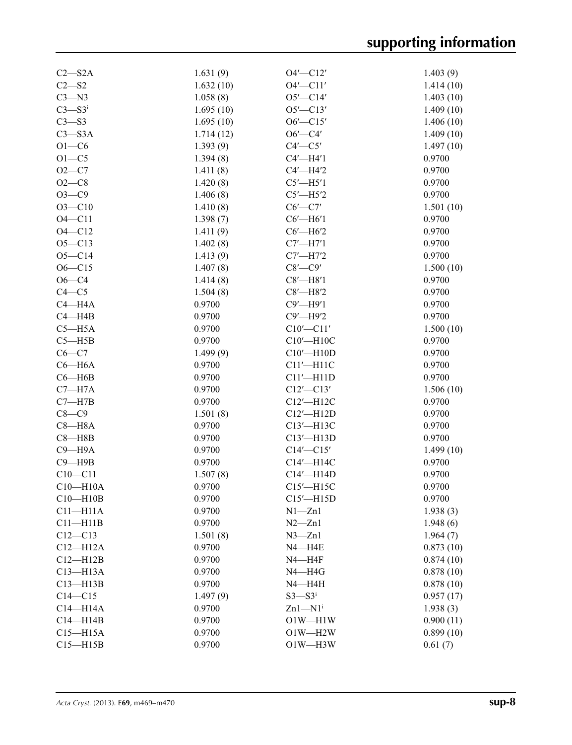| $C2 - S2A$             | 1.631(9)  | $O4'$ - $Cl2'$            | 1.403(9)  |
|------------------------|-----------|---------------------------|-----------|
| $C2 - S2$              | 1.632(10) | $O4'$ - $Cl1'$            | 1.414(10) |
| $C3 - N3$              | 1.058(8)  | $O5'$ - $Cl4'$            | 1.403(10) |
| $C3 - S3$ <sup>i</sup> | 1.695(10) | $O5'$ - $Cl3'$            | 1.409(10) |
| $C3 - S3$              | 1.695(10) | $06'$ - $C15'$            | 1.406(10) |
| $C3 - S3A$             | 1.714(12) | $O6'$ —C4'                | 1.409(10) |
| $O1 - C6$              | 1.393(9)  | $C4'$ — $C5'$             | 1.497(10) |
| $O1 - C5$              | 1.394(8)  | $C4'$ —H4'1               | 0.9700    |
| $O2 - C7$              | 1.411(8)  | $C4'$ -H4'2               | 0.9700    |
| $O2-C8$                | 1.420(8)  | $C5'$ -H5'1               | 0.9700    |
| $O3-C9$                | 1.406(8)  | $C5'$ -H5'2               | 0.9700    |
| $O3 - C10$             | 1.410(8)  | $C6'$ - $C7'$             | 1.501(10) |
| $O4 - C11$             | 1.398(7)  | $C6'$ -H $6'1$            | 0.9700    |
| $O4 - C12$             | 1.411(9)  | $C6'$ -H $6'2$            | 0.9700    |
| $O5 - C13$             | 1.402(8)  | $C7'$ —H7'1               | 0.9700    |
| $O5-C14$               | 1.413(9)  | $C7'$ —H7'2               | 0.9700    |
| $O6 - C15$             | 1.407(8)  | $C8'$ — $C9'$             | 1.500(10) |
| $O6 - C4$              | 1.414(8)  | $C8'$ -H8'1               | 0.9700    |
| $C4 - C5$              | 1.504(8)  | $C8'$ -H $8'2$            | 0.9700    |
| $C4 - H4A$             | 0.9700    | $C9'$ -H9'1               | 0.9700    |
| $C4 - H4B$             | 0.9700    | $C9'$ -H9'2               | 0.9700    |
| $C5 - H5A$             | 0.9700    | $C10'$ - $C11'$           | 1.500(10) |
| $C5 - H5B$             | 0.9700    | $C10'$ -H10C              | 0.9700    |
| $C6-C7$                | 1.499(9)  | $C10'$ -H10D              | 0.9700    |
| $C6 - H6A$             | 0.9700    | $Cl1'$ -H11C              | 0.9700    |
| $C6 - H6B$             | 0.9700    | $Cl1'$ -H <sub>11</sub> D | 0.9700    |
| $C7 - H7A$             | 0.9700    | $C12'$ - $C13'$           | 1.506(10) |
| $C7 - H7B$             | 0.9700    | $C12'$ -H12C              | 0.9700    |
| $C8-C9$                | 1.501(8)  | C12'-H12D                 | 0.9700    |
| $C8 - H8A$             | 0.9700    | C13'-H13C                 | 0.9700    |
| $C8 - H8B$             | 0.9700    | C13'-H13D                 | 0.9700    |
| $C9 - H9A$             | 0.9700    | $C14'$ - $C15'$           | 1.499(10) |
| $C9 - H9B$             | 0.9700    | C14'-H14C                 | 0.9700    |
| $C10 - C11$            | 1.507(8)  | $C14'$ -H14D              | 0.9700    |
| $C10 - H10A$           | 0.9700    | $C15'$ -H15C              | 0.9700    |
| $C10-H10B$             | 0.9700    | $C15'$ -H15D              | 0.9700    |
| $C11 - H11A$           | 0.9700    | $N1 - Zn1$                | 1.938(3)  |
| $C11 - H11B$           | 0.9700    | $N2 - Zn1$                | 1.948(6)  |
| $C12-C13$              | 1.501(8)  | $N3 - Zn1$                | 1.964(7)  |
| $C12 - H12A$           | 0.9700    | $N4 - H4E$                | 0.873(10) |
| $C12 - H12B$           | 0.9700    | $N4 - H4F$                | 0.874(10) |
| $C13 - H13A$           | 0.9700    | $N4 - H4G$                | 0.878(10) |
| $C13 - H13B$           | 0.9700    | $N4 - H4H$                | 0.878(10) |
| $C14 - C15$            | 1.497(9)  | $S3 - S3$ <sup>i</sup>    | 0.957(17) |
| $C14 - H14A$           | 0.9700    | $Zn1-M1$ <sup>i</sup>     | 1.938(3)  |
| $C14 - H14B$           | 0.9700    | $O1W - H1W$               | 0.900(11) |
| $C15 - H15A$           | 0.9700    | $O1W - H2W$               | 0.899(10) |
| $C15 - H15B$           | 0.9700    | $O1W - H3W$               | 0.61(7)   |
|                        |           |                           |           |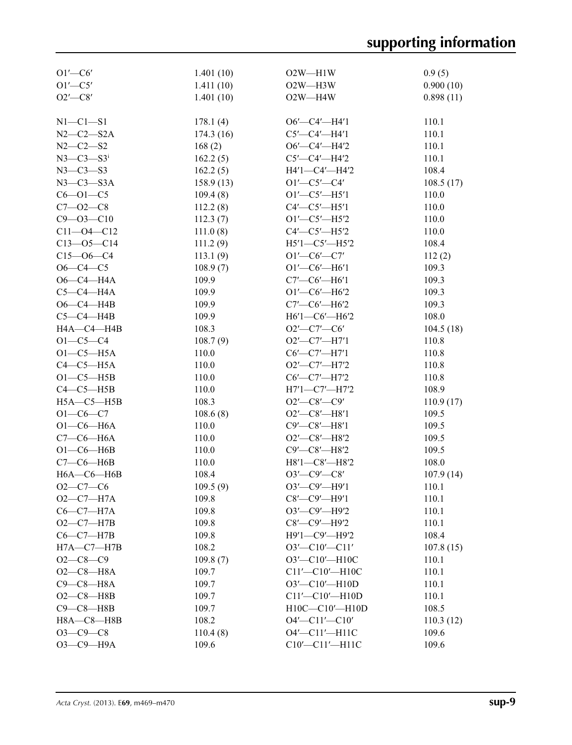| $O1'$ - $C6'$               | 1.401(10) | $O2W$ —H1W                                    | 0.9(5)    |
|-----------------------------|-----------|-----------------------------------------------|-----------|
| $O1'$ - $C5'$               | 1.411(10) | $O2W - H3W$                                   | 0.900(10) |
| $O2'$ -C8'                  | 1.401(10) | $O2W - H4W$                                   | 0.898(11) |
|                             |           |                                               |           |
| $N1-C1-S1$                  | 178.1(4)  | $O6'$ - $C4'$ - $H4'1$                        | 110.1     |
| $N2-C2-S2A$                 | 174.3(16) | $C5'$ - $C4'$ - $H4'1$                        | 110.1     |
| $N2 - C2 - S2$              | 168(2)    | $O6'$ —C4'—H4'2                               | 110.1     |
| $N3 - C3 - S3$ <sup>i</sup> | 162.2(5)  | $C5'$ - $C4'$ -H4'2                           | 110.1     |
| $N3-C3-S3$                  | 162.2(5)  | H4'1-C4'-H4'2                                 | 108.4     |
| $N3-C3-S3A$                 | 158.9(13) | $O1'$ - $C5'$ - $C4'$                         | 108.5(17) |
| $C6 - O1 - C5$              | 109.4(8)  | $O1'$ -C5'-H5'1                               | 110.0     |
| $C7 - 02 - C8$              | 112.2(8)  | $C4'$ - $C5'$ - $H5'1$                        | 110.0     |
| $C9 - 03 - C10$             | 112.3(7)  | $O1'$ - $C5'$ - $H5'2$                        | 110.0     |
| $C11 - 04 - C12$            | 111.0(8)  | $C4'$ — $C5'$ — $H5'2$                        | 110.0     |
| $C13 - 05 - C14$            | 111.2(9)  | $H5'1 - C5' - H5'2$                           | 108.4     |
| $C15 - 06 - C4$             | 113.1(9)  | $O1'$ -C6'-C7'                                | 112(2)    |
| $O6 - C4 - C5$              | 108.9(7)  | $O1'$ - $CO$ <sup><math>-</math></sup> $H6'1$ | 109.3     |
| $O6-C4-H4A$                 | 109.9     | $C7'$ - $C6'$ - $H6'1$                        | 109.3     |
| $C5-C4-H4A$                 | 109.9     | $O1'$ - $C6'$ - $H6'2$                        | 109.3     |
| $O6-C4$ -H4B                | 109.9     | $C7'$ — $C6'$ —H $6'2$                        | 109.3     |
| $C5-C4-H4B$                 | 109.9     | $H6'1-C6'$ -H6'2                              | 108.0     |
| H4A-C4-H4B                  | 108.3     | $O2'$ -C7'-C6'                                |           |
|                             |           |                                               | 104.5(18) |
| $O1 - C5 - C4$              | 108.7(9)  | $O2'$ - $C7'$ - $H7'1$                        | 110.8     |
| $O1-C5-H5A$                 | 110.0     | $C6'$ - $C7'$ - $H7'1$                        | 110.8     |
| $C4-C5-H5A$                 | 110.0     | O2'-C7'-H7'2                                  | 110.8     |
| $O1-C5-H5B$                 | 110.0     | $C6'$ - $C7'$ - $H7'2$                        | 110.8     |
| $C4-C5-H5B$                 | 110.0     | $H7'1 - C7' - H7'2$                           | 108.9     |
| $H5A - C5 - H5B$            | 108.3     | $O2'$ - $C8'$ - $C9'$                         | 110.9(17) |
| $O1 - C6 - C7$              | 108.6(8)  | $O2'$ - $C8'$ - $H8'1$                        | 109.5     |
| $O1-C6-H6A$                 | 110.0     | $C9'$ - $C8'$ - $H8'1$                        | 109.5     |
| $C7-C6-H6A$                 | 110.0     | $O2'$ - $C8'$ - $H8'2$                        | 109.5     |
| $O1-C6$ -H6B                | 110.0     | C9'-C8'-H8'2                                  | 109.5     |
| $C7-C6-H6B$                 | 110.0     | H8'1-C8'-H8'2                                 | 108.0     |
| $H6A - C6 - H6B$            | 108.4     | $O3'$ - $C9'$ - $C8'$                         | 107.9(14) |
| $O2-C7-C6$                  | 109.5(9)  | $O3'$ - $C9'$ - $H9'1$                        | 110.1     |
| $O2-C7-H7A$                 | 109.8     | $C8'$ - $C9'$ - $H9'1$                        | 110.1     |
| $C6-C7-H7A$                 | 109.8     | O3'-C9'-H9'2                                  | 110.1     |
| $O2-C7-H7B$                 | 109.8     | $C8'$ - $C9'$ - $H9'2$                        | 110.1     |
| $C6-C7-H7B$                 | 109.8     | Н9'1-С9'-Н9'2                                 | 108.4     |
| $H7A - C7 - H7B$            | 108.2     | $O3'$ - $Cl0'$ - $Cl1'$                       | 107.8(15) |
| $O2-C8-C9$                  | 109.8(7)  | O3'-C10'-H10C                                 | 110.1     |
| $O2-C8 - H8A$               | 109.7     | C11'-C10'-H10C                                | 110.1     |
| $C9-C8-H8A$                 | 109.7     | $O3'$ - $Cl0'$ - $H10D$                       | 110.1     |
| $O2-C8 - H8B$               | 109.7     | C11'-C10'-H10D                                | 110.1     |
| $C9 - C8 - H8B$             | 109.7     | H10C-C10'-H10D                                | 108.5     |
| $H8A - C8 - H8B$            | 108.2     | $O4'$ - $Cl1'$ - $Cl0'$                       | 110.3(12) |
| $O3 - C9 - C8$              | 110.4(8)  | O4'-C11'-H11C                                 | 109.6     |
| ОЗ-С9-Н9А                   | 109.6     | C10'-C11'-H11C                                | 109.6     |
|                             |           |                                               |           |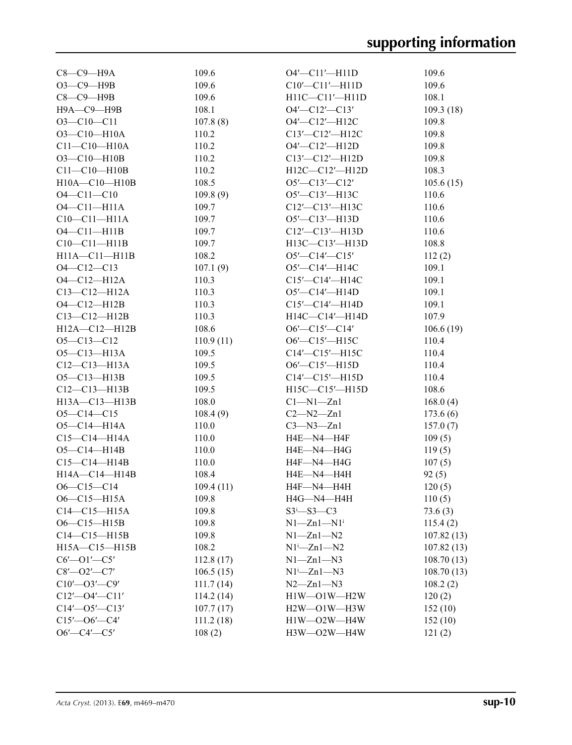| $C8-C9-H9A$             | 109.6     | $O4'$ - $Cl1'$ - $H11D$      | 109.6      |
|-------------------------|-----------|------------------------------|------------|
| $O3 - C9 - H9B$         | 109.6     | $C10'$ - $C11'$ - $H11D$     | 109.6      |
| $C8-C9$ —H9B            | 109.6     | $H11C-C11'$ -H11D            | 108.1      |
| Н9А-С9-Н9В              | 108.1     | $O4'$ - $Cl2'$ - $Cl3'$      | 109.3(18)  |
| $O3 - C10 - C11$        | 107.8(8)  | O4'-C12'-H12C                | 109.8      |
| $O3 - C10 - H10A$       | 110.2     | $C13'$ - $C12'$ - $H12C$     | 109.8      |
| $C11 - C10 - H10A$      | 110.2     | $O4'$ - $Cl2'$ - $H12D$      | 109.8      |
| $O3 - C10 - H10B$       | 110.2     | C13'-C12'-H12D               | 109.8      |
| $C11 - C10 - H10B$      | 110.2     | H12C-C12'-H12D               | 108.3      |
| $H10A - C10 - H10B$     | 108.5     | $O5'$ - $Cl3'$ - $Cl2'$      | 105.6(15)  |
| $O4 - C11 - C10$        | 109.8(9)  | $O5'$ - $Cl3'$ - $H13C$      | 110.6      |
| $O4 - C11 - H11A$       | 109.7     | $C12'$ - $C13'$ - $H13C$     | 110.6      |
| $C10-C11-H11A$          | 109.7     | $O5'$ —C13'—H13D             | 110.6      |
| $O4 - Cl1 - H11B$       | 109.7     | C12'-C13'-H13D               | 110.6      |
| $C10-C11-H11B$          | 109.7     | H13C-C13'-H13D               | 108.8      |
| $H11A - C11 - H11B$     | 108.2     | $O5'$ —C14'—C15'             | 112(2)     |
| $O4 - C12 - C13$        | 107.1(9)  | $O5'$ —C14'—H14C             | 109.1      |
| $O4 - C12 - H12A$       | 110.3     | $C15'$ - $C14'$ - $H14C$     | 109.1      |
| $C13 - C12 - H12A$      | 110.3     | O5'—C14'—H14D                | 109.1      |
| $O4 - Cl2 - H12B$       | 110.3     | C15'—C14'—H14D               | 109.1      |
| $C13 - C12 - H12B$      | 110.3     | $H14C - C14' - H14D$         | 107.9      |
| $H12A - C12 - H12B$     | 108.6     | $O6'$ —C15'—C14'             | 106.6(19)  |
| $O5 - C13 - C12$        | 110.9(11) | $O6'$ —C15'—H15C             | 110.4      |
| $O5 - Cl3 - H13A$       | 109.5     | $C14'$ - $C15'$ - $H15C$     | 110.4      |
| $C12 - C13 - H13A$      | 109.5     | $O6'$ - $Cl5'$ - $H15D$      | 110.4      |
| $O5 - C13 - H13B$       | 109.5     | $C14'$ — $C15'$ —H15D        | 110.4      |
| $C12-C13-H13B$          | 109.5     | $H15C-C15'$ -H15D            | 108.6      |
| H13A-C13-H13B           | 108.0     | $Cl-M1-Zn1$                  | 168.0(4)   |
| $O5 - C14 - C15$        | 108.4(9)  | $C2 - N2 - Zn1$              | 173.6(6)   |
| $O5 - C14 - H14A$       | 110.0     | $C3 - N3 - Zn1$              | 157.0(7)   |
| $C15 - C14 - H14A$      | 110.0     | H4E—N4—H4F                   | 109(5)     |
| $O5 - C14 - H14B$       | 110.0     | H4E—N4—H4G                   | 119(5)     |
| $C15-C14-H14B$          | 110.0     | H4F—N4—H4G                   | 107(5)     |
| H14A-C14-H14B           | 108.4     | H4E-N4-H4H                   | 92(5)      |
| $O6-C15-C14$            | 109.4(11) | H4F-N4-H4H                   | 120(5)     |
| $O6 - C15 - H15A$       | 109.8     | $H4G$ —N4—H4H                | 110(5)     |
| $C14-C15-H15A$          | 109.8     | $S3 - S3 - C3$               | 73.6(3)    |
| $O6 - C15 - H15B$       | 109.8     | $N1 - Zn1 - N1$ <sup>i</sup> | 115.4(2)   |
| $C14-C15-H15B$          | 109.8     | $N1 - Zn1 - N2$              | 107.82(13) |
| $H15A - C15 - H15B$     | 108.2     | $N1^i$ -Zn $1$ -N2           | 107.82(13) |
| $C6'$ - $O1'$ - $C5'$   | 112.8(17) | $N1 - Zn1 - N3$              | 108.70(13) |
| $C8'$ - $O2'$ - $C7'$   | 106.5(15) | $N1^i$ — $Zn1$ — $N3$        | 108.70(13) |
| $C10'$ - $O3'$ - $C9'$  | 111.7(14) | $N2 - Zn1 - N3$              | 108.2(2)   |
| $C12'$ - $O4'$ - $C11'$ | 114.2(14) | $H1W$ -O1W - $H2W$           | 120(2)     |
| $C14'$ - $O5'$ - $C13'$ | 107.7(17) | $H2W$ — $O1W$ — $H3W$        | 152(10)    |
| $C15'$ - $O6'$ - $C4'$  | 111.2(18) | $H1W$ —O2W—H4W               | 152(10)    |
| $O6'$ —C4'—C5'          | 108(2)    | $H3W$ — $O2W$ — $H4W$        | 121(2)     |